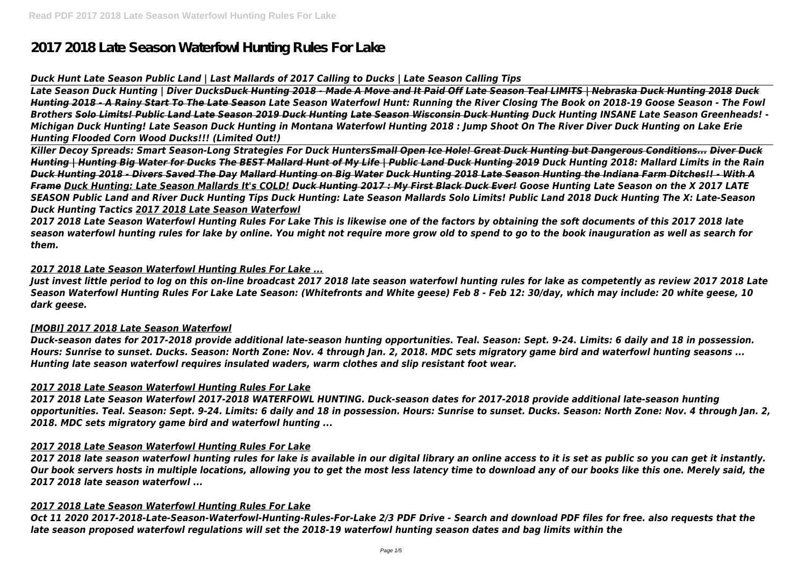# **2017 2018 Late Season Waterfowl Hunting Rules For Lake**

# *Duck Hunt Late Season Public Land | Last Mallards of 2017 Calling to Ducks | Late Season Calling Tips*

*Late Season Duck Hunting | Diver DucksDuck Hunting 2018 - Made A Move and It Paid Off Late Season Teal LIMITS | Nebraska Duck Hunting 2018 Duck Hunting 2018 - A Rainy Start To The Late Season Late Season Waterfowl Hunt: Running the River Closing The Book on 2018-19 Goose Season - The Fowl Brothers Solo Limits! Public Land Late Season 2019 Duck Hunting Late Season Wisconsin Duck Hunting Duck Hunting INSANE Late Season Greenheads! - Michigan Duck Hunting! Late Season Duck Hunting in Montana Waterfowl Hunting 2018 : Jump Shoot On The River Diver Duck Hunting on Lake Erie Hunting Flooded Corn Wood Ducks!!! (Limited Out!)*

*Killer Decoy Spreads: Smart Season-Long Strategies For Duck HuntersSmall Open Ice Hole! Great Duck Hunting but Dangerous Conditions... Diver Duck Hunting | Hunting Big Water for Ducks The BEST Mallard Hunt of My Life | Public Land Duck Hunting 2019 Duck Hunting 2018: Mallard Limits in the Rain Duck Hunting 2018 - Divers Saved The Day Mallard Hunting on Big Water Duck Hunting 2018 Late Season Hunting the Indiana Farm Ditches!! - With A Frame Duck Hunting: Late Season Mallards It's COLD! Duck Hunting 2017 : My First Black Duck Ever! Goose Hunting Late Season on the X 2017 LATE SEASON Public Land and River Duck Hunting Tips Duck Hunting: Late Season Mallards Solo Limits! Public Land 2018 Duck Hunting The X: Late-Season Duck Hunting Tactics 2017 2018 Late Season Waterfowl*

*2017 2018 Late Season Waterfowl Hunting Rules For Lake This is likewise one of the factors by obtaining the soft documents of this 2017 2018 late season waterfowl hunting rules for lake by online. You might not require more grow old to spend to go to the book inauguration as well as search for them.*

### *2017 2018 Late Season Waterfowl Hunting Rules For Lake ...*

*Just invest little period to log on this on-line broadcast 2017 2018 late season waterfowl hunting rules for lake as competently as review 2017 2018 Late Season Waterfowl Hunting Rules For Lake Late Season: (Whitefronts and White geese) Feb 8 - Feb 12: 30/day, which may include: 20 white geese, 10 dark geese.*

#### *[MOBI] 2017 2018 Late Season Waterfowl*

*Duck-season dates for 2017-2018 provide additional late-season hunting opportunities. Teal. Season: Sept. 9-24. Limits: 6 daily and 18 in possession. Hours: Sunrise to sunset. Ducks. Season: North Zone: Nov. 4 through Jan. 2, 2018. MDC sets migratory game bird and waterfowl hunting seasons ... Hunting late season waterfowl requires insulated waders, warm clothes and slip resistant foot wear.*

#### *2017 2018 Late Season Waterfowl Hunting Rules For Lake*

*2017 2018 Late Season Waterfowl 2017-2018 WATERFOWL HUNTING. Duck-season dates for 2017-2018 provide additional late-season hunting opportunities. Teal. Season: Sept. 9-24. Limits: 6 daily and 18 in possession. Hours: Sunrise to sunset. Ducks. Season: North Zone: Nov. 4 through Jan. 2, 2018. MDC sets migratory game bird and waterfowl hunting ...*

#### *2017 2018 Late Season Waterfowl Hunting Rules For Lake*

*2017 2018 late season waterfowl hunting rules for lake is available in our digital library an online access to it is set as public so you can get it instantly. Our book servers hosts in multiple locations, allowing you to get the most less latency time to download any of our books like this one. Merely said, the 2017 2018 late season waterfowl ...*

#### *2017 2018 Late Season Waterfowl Hunting Rules For Lake*

*Oct 11 2020 2017-2018-Late-Season-Waterfowl-Hunting-Rules-For-Lake 2/3 PDF Drive - Search and download PDF files for free. also requests that the late season proposed waterfowl regulations will set the 2018-19 waterfowl hunting season dates and bag limits within the*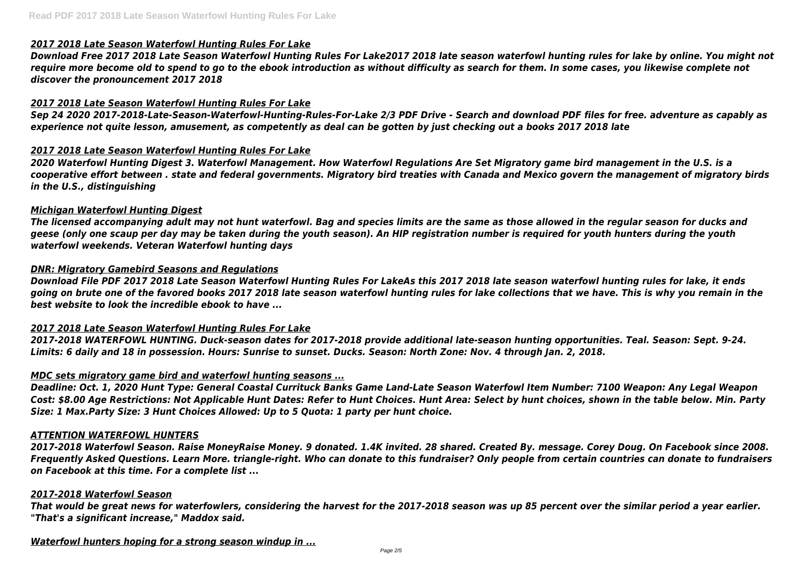# *2017 2018 Late Season Waterfowl Hunting Rules For Lake*

*Download Free 2017 2018 Late Season Waterfowl Hunting Rules For Lake2017 2018 late season waterfowl hunting rules for lake by online. You might not require more become old to spend to go to the ebook introduction as without difficulty as search for them. In some cases, you likewise complete not discover the pronouncement 2017 2018*

# *2017 2018 Late Season Waterfowl Hunting Rules For Lake*

*Sep 24 2020 2017-2018-Late-Season-Waterfowl-Hunting-Rules-For-Lake 2/3 PDF Drive - Search and download PDF files for free. adventure as capably as experience not quite lesson, amusement, as competently as deal can be gotten by just checking out a books 2017 2018 late*

# *2017 2018 Late Season Waterfowl Hunting Rules For Lake*

*2020 Waterfowl Hunting Digest 3. Waterfowl Management. How Waterfowl Regulations Are Set Migratory game bird management in the U.S. is a cooperative effort between . state and federal governments. Migratory bird treaties with Canada and Mexico govern the management of migratory birds in the U.S., distinguishing*

### *Michigan Waterfowl Hunting Digest*

*The licensed accompanying adult may not hunt waterfowl. Bag and species limits are the same as those allowed in the regular season for ducks and geese (only one scaup per day may be taken during the youth season). An HIP registration number is required for youth hunters during the youth waterfowl weekends. Veteran Waterfowl hunting days*

### *DNR: Migratory Gamebird Seasons and Regulations*

*Download File PDF 2017 2018 Late Season Waterfowl Hunting Rules For LakeAs this 2017 2018 late season waterfowl hunting rules for lake, it ends going on brute one of the favored books 2017 2018 late season waterfowl hunting rules for lake collections that we have. This is why you remain in the best website to look the incredible ebook to have ...*

#### *2017 2018 Late Season Waterfowl Hunting Rules For Lake*

*2017-2018 WATERFOWL HUNTING. Duck-season dates for 2017-2018 provide additional late-season hunting opportunities. Teal. Season: Sept. 9-24. Limits: 6 daily and 18 in possession. Hours: Sunrise to sunset. Ducks. Season: North Zone: Nov. 4 through Jan. 2, 2018.*

#### *MDC sets migratory game bird and waterfowl hunting seasons ...*

*Deadline: Oct. 1, 2020 Hunt Type: General Coastal Currituck Banks Game Land-Late Season Waterfowl Item Number: 7100 Weapon: Any Legal Weapon Cost: \$8.00 Age Restrictions: Not Applicable Hunt Dates: Refer to Hunt Choices. Hunt Area: Select by hunt choices, shown in the table below. Min. Party Size: 1 Max.Party Size: 3 Hunt Choices Allowed: Up to 5 Quota: 1 party per hunt choice.*

#### *ATTENTION WATERFOWL HUNTERS*

*2017-2018 Waterfowl Season. Raise MoneyRaise Money. 9 donated. 1.4K invited. 28 shared. Created By. message. Corey Doug. On Facebook since 2008. Frequently Asked Questions. Learn More. triangle-right. Who can donate to this fundraiser? Only people from certain countries can donate to fundraisers on Facebook at this time. For a complete list ...*

#### *2017-2018 Waterfowl Season*

*That would be great news for waterfowlers, considering the harvest for the 2017-2018 season was up 85 percent over the similar period a year earlier. "That's a significant increase," Maddox said.*

*Waterfowl hunters hoping for a strong season windup in ...*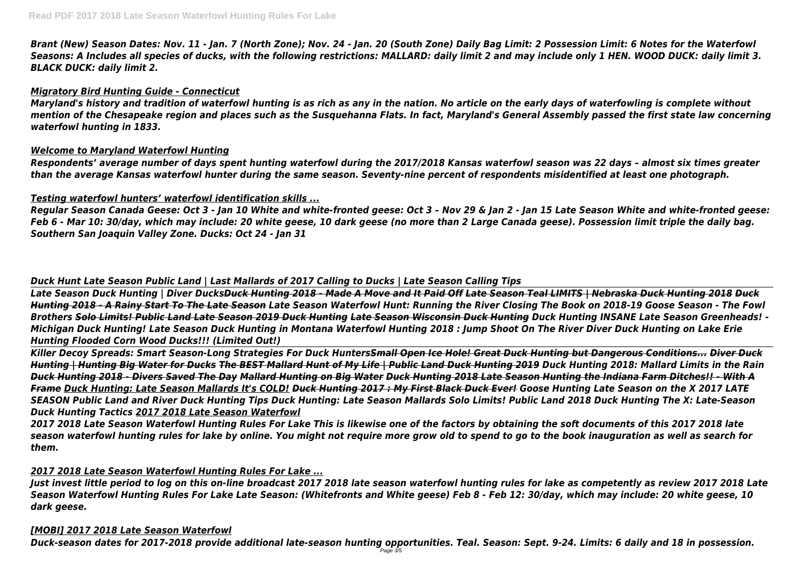*Brant (New) Season Dates: Nov. 11 - Jan. 7 (North Zone); Nov. 24 - Jan. 20 (South Zone) Daily Bag Limit: 2 Possession Limit: 6 Notes for the Waterfowl Seasons: A Includes all species of ducks, with the following restrictions: MALLARD: daily limit 2 and may include only 1 HEN. WOOD DUCK: daily limit 3. BLACK DUCK: daily limit 2.*

#### *Migratory Bird Hunting Guide - Connecticut*

*Maryland's history and tradition of waterfowl hunting is as rich as any in the nation. No article on the early days of waterfowling is complete without mention of the Chesapeake region and places such as the Susquehanna Flats. In fact, Maryland's General Assembly passed the first state law concerning waterfowl hunting in 1833.*

#### *Welcome to Maryland Waterfowl Hunting*

*Respondents' average number of days spent hunting waterfowl during the 2017/2018 Kansas waterfowl season was 22 days – almost six times greater than the average Kansas waterfowl hunter during the same season. Seventy-nine percent of respondents misidentified at least one photograph.*

### *Testing waterfowl hunters' waterfowl identification skills ...*

*Regular Season Canada Geese: Oct 3 - Jan 10 White and white-fronted geese: Oct 3 – Nov 29 & Jan 2 - Jan 15 Late Season White and white-fronted geese: Feb 6 - Mar 10: 30/day, which may include: 20 white geese, 10 dark geese (no more than 2 Large Canada geese). Possession limit triple the daily bag. Southern San Joaquin Valley Zone. Ducks: Oct 24 - Jan 31*

# *Duck Hunt Late Season Public Land | Last Mallards of 2017 Calling to Ducks | Late Season Calling Tips*

*Late Season Duck Hunting | Diver DucksDuck Hunting 2018 - Made A Move and It Paid Off Late Season Teal LIMITS | Nebraska Duck Hunting 2018 Duck Hunting 2018 - A Rainy Start To The Late Season Late Season Waterfowl Hunt: Running the River Closing The Book on 2018-19 Goose Season - The Fowl Brothers Solo Limits! Public Land Late Season 2019 Duck Hunting Late Season Wisconsin Duck Hunting Duck Hunting INSANE Late Season Greenheads! - Michigan Duck Hunting! Late Season Duck Hunting in Montana Waterfowl Hunting 2018 : Jump Shoot On The River Diver Duck Hunting on Lake Erie Hunting Flooded Corn Wood Ducks!!! (Limited Out!)*

*Killer Decoy Spreads: Smart Season-Long Strategies For Duck HuntersSmall Open Ice Hole! Great Duck Hunting but Dangerous Conditions... Diver Duck Hunting | Hunting Big Water for Ducks The BEST Mallard Hunt of My Life | Public Land Duck Hunting 2019 Duck Hunting 2018: Mallard Limits in the Rain Duck Hunting 2018 - Divers Saved The Day Mallard Hunting on Big Water Duck Hunting 2018 Late Season Hunting the Indiana Farm Ditches!! - With A Frame Duck Hunting: Late Season Mallards It's COLD! Duck Hunting 2017 : My First Black Duck Ever! Goose Hunting Late Season on the X 2017 LATE SEASON Public Land and River Duck Hunting Tips Duck Hunting: Late Season Mallards Solo Limits! Public Land 2018 Duck Hunting The X: Late-Season Duck Hunting Tactics 2017 2018 Late Season Waterfowl*

*2017 2018 Late Season Waterfowl Hunting Rules For Lake This is likewise one of the factors by obtaining the soft documents of this 2017 2018 late season waterfowl hunting rules for lake by online. You might not require more grow old to spend to go to the book inauguration as well as search for them.*

# *2017 2018 Late Season Waterfowl Hunting Rules For Lake ...*

*Just invest little period to log on this on-line broadcast 2017 2018 late season waterfowl hunting rules for lake as competently as review 2017 2018 Late Season Waterfowl Hunting Rules For Lake Late Season: (Whitefronts and White geese) Feb 8 - Feb 12: 30/day, which may include: 20 white geese, 10 dark geese.*

#### *[MOBI] 2017 2018 Late Season Waterfowl*

*Duck-season dates for 2017-2018 provide additional late-season hunting opportunities. Teal. Season: Sept. 9-24. Limits: 6 daily and 18 in possession.*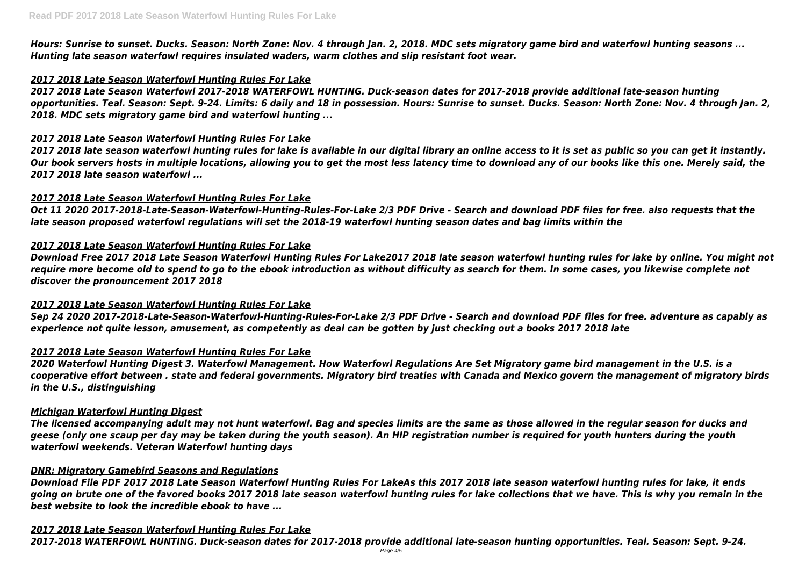*Hours: Sunrise to sunset. Ducks. Season: North Zone: Nov. 4 through Jan. 2, 2018. MDC sets migratory game bird and waterfowl hunting seasons ... Hunting late season waterfowl requires insulated waders, warm clothes and slip resistant foot wear.*

## *2017 2018 Late Season Waterfowl Hunting Rules For Lake*

*2017 2018 Late Season Waterfowl 2017-2018 WATERFOWL HUNTING. Duck-season dates for 2017-2018 provide additional late-season hunting opportunities. Teal. Season: Sept. 9-24. Limits: 6 daily and 18 in possession. Hours: Sunrise to sunset. Ducks. Season: North Zone: Nov. 4 through Jan. 2, 2018. MDC sets migratory game bird and waterfowl hunting ...*

#### *2017 2018 Late Season Waterfowl Hunting Rules For Lake*

*2017 2018 late season waterfowl hunting rules for lake is available in our digital library an online access to it is set as public so you can get it instantly. Our book servers hosts in multiple locations, allowing you to get the most less latency time to download any of our books like this one. Merely said, the 2017 2018 late season waterfowl ...*

### *2017 2018 Late Season Waterfowl Hunting Rules For Lake*

*Oct 11 2020 2017-2018-Late-Season-Waterfowl-Hunting-Rules-For-Lake 2/3 PDF Drive - Search and download PDF files for free. also requests that the late season proposed waterfowl regulations will set the 2018-19 waterfowl hunting season dates and bag limits within the*

### *2017 2018 Late Season Waterfowl Hunting Rules For Lake*

*Download Free 2017 2018 Late Season Waterfowl Hunting Rules For Lake2017 2018 late season waterfowl hunting rules for lake by online. You might not require more become old to spend to go to the ebook introduction as without difficulty as search for them. In some cases, you likewise complete not discover the pronouncement 2017 2018*

#### *2017 2018 Late Season Waterfowl Hunting Rules For Lake*

*Sep 24 2020 2017-2018-Late-Season-Waterfowl-Hunting-Rules-For-Lake 2/3 PDF Drive - Search and download PDF files for free. adventure as capably as experience not quite lesson, amusement, as competently as deal can be gotten by just checking out a books 2017 2018 late*

#### *2017 2018 Late Season Waterfowl Hunting Rules For Lake*

*2020 Waterfowl Hunting Digest 3. Waterfowl Management. How Waterfowl Regulations Are Set Migratory game bird management in the U.S. is a cooperative effort between . state and federal governments. Migratory bird treaties with Canada and Mexico govern the management of migratory birds in the U.S., distinguishing*

#### *Michigan Waterfowl Hunting Digest*

*The licensed accompanying adult may not hunt waterfowl. Bag and species limits are the same as those allowed in the regular season for ducks and geese (only one scaup per day may be taken during the youth season). An HIP registration number is required for youth hunters during the youth waterfowl weekends. Veteran Waterfowl hunting days*

#### *DNR: Migratory Gamebird Seasons and Regulations*

*Download File PDF 2017 2018 Late Season Waterfowl Hunting Rules For LakeAs this 2017 2018 late season waterfowl hunting rules for lake, it ends going on brute one of the favored books 2017 2018 late season waterfowl hunting rules for lake collections that we have. This is why you remain in the best website to look the incredible ebook to have ...*

#### *2017 2018 Late Season Waterfowl Hunting Rules For Lake*

*2017-2018 WATERFOWL HUNTING. Duck-season dates for 2017-2018 provide additional late-season hunting opportunities. Teal. Season: Sept. 9-24.*